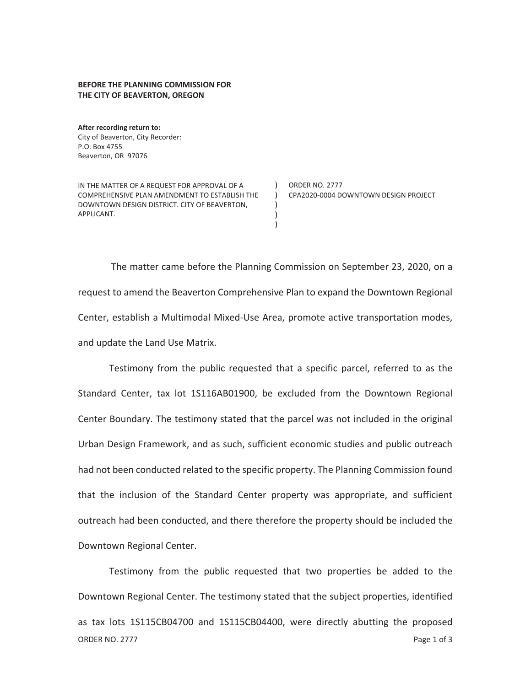## **BEFORE THE PLANNING COMMISSION FOR THE CITY OF BEAVERTON, OREGON**

**After recording return to:**  City of Beaverton, City Recorder: P.O. Box 4755 Beaverton, OR 97076

IN THE MATTER OF A REQUEST FOR APPROVAL OF A COMPREHENSIVE PLAN AMENDMENT TO ESTABLISH THE DOWNTOWN DESIGN DISTRICT. CITY OF BEAVERTON, APPLICANT.

) ORDER NO. 2777 ) CPA2020-0004 DOWNTOWN DESIGN PROJECT

The matter came before the Planning Commission on September 23, 2020, on a request to amend the Beaverton Comprehensive Plan to expand the Downtown Regional Center, establish a Multimodal Mixed-Use Area, promote active transportation modes, and update the Land Use Matrix.

) ) )

Testimony from the public requested that a specific parcel, referred to as the Standard Center, tax lot 1S116AB01900, be excluded from the Downtown Regional Center Boundary. The testimony stated that the parcel was not included in the original Urban Design Framework, and as such, sufficient economic studies and public outreach had not been conducted related to the specific property. The Planning Commission found that the inclusion of the Standard Center property was appropriate, and sufficient outreach had been conducted, and there therefore the property should be included the Downtown Regional Center.

ORDER NO. 2777 Page 1 of 3 Testimony from the public requested that two properties be added to the Downtown Regional Center. The testimony stated that the subject properties, identified as tax lots 1S115CB04700 and 1S115CB04400, were directly abutting the proposed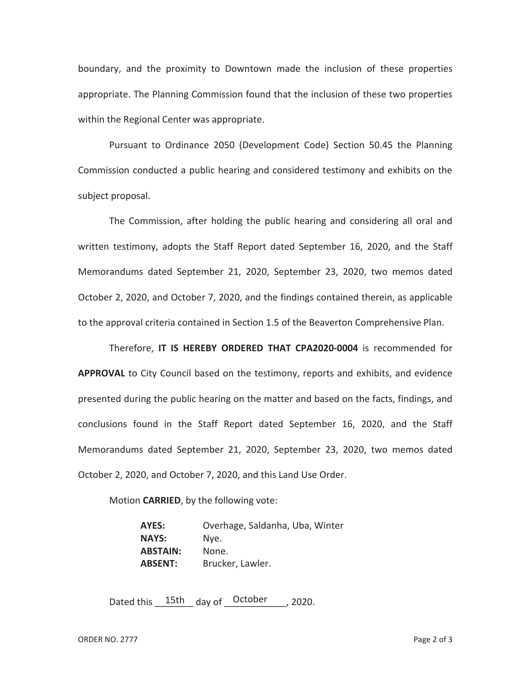boundary, and the proximity to Downtown made the inclusion of these properties appropriate. The Planning Commission found that the inclusion of these two properties within the Regional Center was appropriate.

Pursuant to Ordinance 2050 (Development Code) Section 50.45 the Planning Commission conducted a public hearing and considered testimony and exhibits on the subject proposal.

The Commission, after holding the public hearing and considering all oral and written testimony, adopts the Staff Report dated September 16, 2020, and the Staff Memorandums dated September 21, 2020, September 23, 2020, two memos dated October 2, 2020, and October 7, 2020, and the findings contained therein, as applicable to the approval criteria contained in Section 1.5 of the Beaverton Comprehensive Plan.

Therefore, **IT IS HEREBY ORDERED THAT CPA2020-0004** is recommended for **APPROVAL** to City Council based on the testimony, reports and exhibits, and evidence presented during the public hearing on the matter and based on the facts, findings, and conclusions found in the Staff Report dated September 16, 2020, and the Staff Memorandums dated September 21, 2020, September 23, 2020, two memos dated October 2, 2020, and October 7, 2020, and this Land Use Order.

Motion **CARRIED**, by the following vote:

**AYES:** Overhage, Saldanha, Uba, Winter **NAYS:** Nye. **ABSTAIN:** None. **ABSENT:** Brucker, Lawler.

Dated this  $15th$  day of October , 2020.